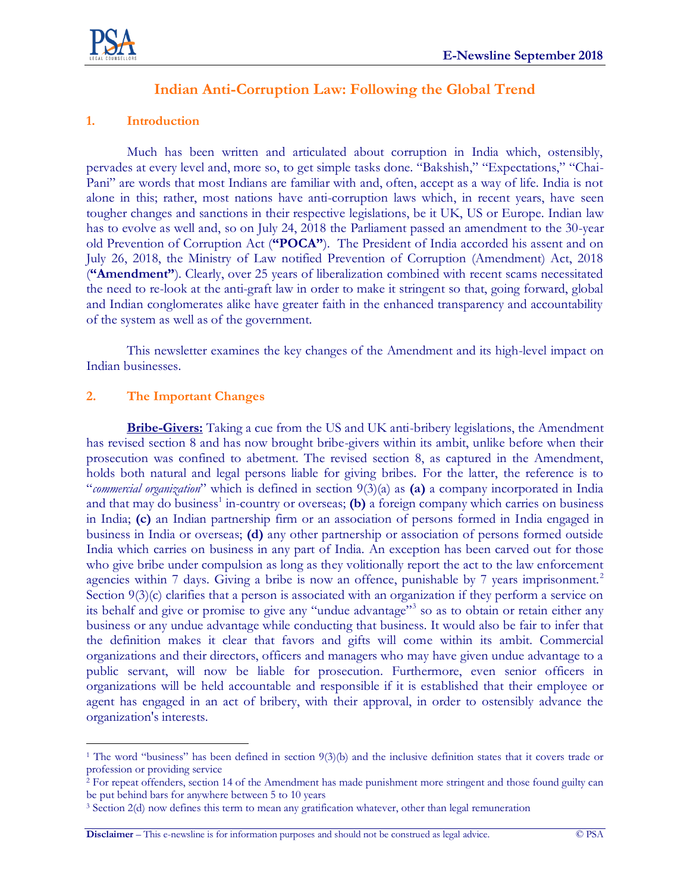

# **Indian Anti-Corruption Law: Following the Global Trend**

# **1. Introduction**

Much has been written and articulated about corruption in India which, ostensibly, pervades at every level and, more so, to get simple tasks done. "Bakshish," "Expectations," "Chai-Pani" are words that most Indians are familiar with and, often, accept as a way of life. India is not alone in this; rather, most nations have anti-corruption laws which, in recent years, have seen tougher changes and sanctions in their respective legislations, be it UK, US or Europe. Indian law has to evolve as well and, so on July 24, 2018 the Parliament passed an amendment to the 30-year old Prevention of Corruption Act (**"POCA"**). The President of India accorded his assent and on July 26, 2018, the Ministry of Law notified Prevention of Corruption (Amendment) Act, 2018 (**"Amendment"**). Clearly, over 25 years of liberalization combined with recent scams necessitated the need to re-look at the anti-graft law in order to make it stringent so that, going forward, global and Indian conglomerates alike have greater faith in the enhanced transparency and accountability of the system as well as of the government.

This newsletter examines the key changes of the Amendment and its high-level impact on Indian businesses.

### **2. The Important Changes**

 $\overline{a}$ 

**Bribe-Givers:** Taking a cue from the US and UK anti-bribery legislations, the Amendment has revised section 8 and has now brought bribe-givers within its ambit, unlike before when their prosecution was confined to abetment. The revised section 8, as captured in the Amendment, holds both natural and legal persons liable for giving bribes. For the latter, the reference is to "*commercial organization*" which is defined in section 9(3)(a) as **(a)** a company incorporated in India and that may do business<sup>1</sup> in-country or overseas; (b) a foreign company which carries on business in India; **(c)** an Indian partnership firm or an association of persons formed in India engaged in business in India or overseas; **(d)** any other partnership or association of persons formed outside India which carries on business in any part of India. An exception has been carved out for those who give bribe under compulsion as long as they volitionally report the act to the law enforcement agencies within 7 days. Giving a bribe is now an offence, punishable by 7 years imprisonment.<sup>2</sup> Section 9(3)(c) clarifies that a person is associated with an organization if they perform a service on its behalf and give or promise to give any "undue advantage"<sup>3</sup> so as to obtain or retain either any business or any undue advantage while conducting that business. It would also be fair to infer that the definition makes it clear that favors and gifts will come within its ambit. Commercial organizations and their directors, officers and managers who may have given undue advantage to a public servant, will now be liable for prosecution. Furthermore, even senior officers in organizations will be held accountable and responsible if it is established that their employee or agent has engaged in an act of bribery, with their approval, in order to ostensibly advance the organization's interests.

<sup>1</sup> The word "business" has been defined in section 9(3)(b) and the inclusive definition states that it covers trade or profession or providing service

<sup>&</sup>lt;sup>2</sup> For repeat offenders, section 14 of the Amendment has made punishment more stringent and those found guilty can be put behind bars for anywhere between 5 to 10 years

<sup>3</sup> Section 2(d) now defines this term to mean any gratification whatever, other than legal remuneration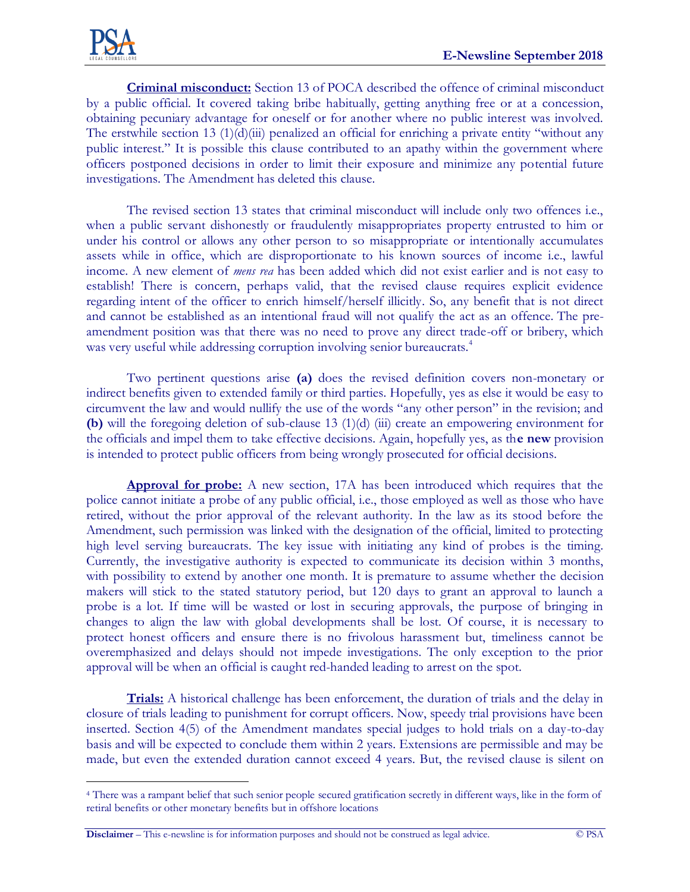$\overline{a}$ 

**Criminal misconduct:** Section 13 of POCA described the offence of criminal misconduct by a public official. It covered taking bribe habitually, getting anything free or at a concession, obtaining pecuniary advantage for oneself or for another where no public interest was involved. The erstwhile section 13 (1)(d)(iii) penalized an official for enriching a private entity "without any public interest." It is possible this clause contributed to an apathy within the government where officers postponed decisions in order to limit their exposure and minimize any potential future investigations. The Amendment has deleted this clause.

The revised section 13 states that criminal misconduct will include only two offences i.e., when a public servant dishonestly or fraudulently misappropriates property entrusted to him or under his control or allows any other person to so misappropriate or intentionally accumulates assets while in office, which are disproportionate to his known sources of income i.e., lawful income. A new element of *mens rea* has been added which did not exist earlier and is not easy to establish! There is concern, perhaps valid, that the revised clause requires explicit evidence regarding intent of the officer to enrich himself/herself illicitly. So, any benefit that is not direct and cannot be established as an intentional fraud will not qualify the act as an offence. The preamendment position was that there was no need to prove any direct trade-off or bribery, which was very useful while addressing corruption involving senior bureaucrats.<sup>4</sup>

Two pertinent questions arise **(a)** does the revised definition covers non-monetary or indirect benefits given to extended family or third parties. Hopefully, yes as else it would be easy to circumvent the law and would nullify the use of the words "any other person" in the revision; and **(b)** will the foregoing deletion of sub-clause 13 (1)(d) (iii) create an empowering environment for the officials and impel them to take effective decisions. Again, hopefully yes, as th**e new** provision is intended to protect public officers from being wrongly prosecuted for official decisions.

**Approval for probe:** A new section, 17A has been introduced which requires that the police cannot initiate a probe of any public official, i.e., those employed as well as those who have retired, without the prior approval of the relevant authority. In the law as its stood before the Amendment, such permission was linked with the designation of the official, limited to protecting high level serving bureaucrats. The key issue with initiating any kind of probes is the timing. Currently, the investigative authority is expected to communicate its decision within 3 months, with possibility to extend by another one month. It is premature to assume whether the decision makers will stick to the stated statutory period, but 120 days to grant an approval to launch a probe is a lot. If time will be wasted or lost in securing approvals, the purpose of bringing in changes to align the law with global developments shall be lost. Of course, it is necessary to protect honest officers and ensure there is no frivolous harassment but, timeliness cannot be overemphasized and delays should not impede investigations. The only exception to the prior approval will be when an official is caught red-handed leading to arrest on the spot.

**Trials:** A historical challenge has been enforcement, the duration of trials and the delay in closure of trials leading to punishment for corrupt officers. Now, speedy trial provisions have been inserted. Section 4(5) of the Amendment mandates special judges to hold trials on a day-to-day basis and will be expected to conclude them within 2 years. Extensions are permissible and may be made, but even the extended duration cannot exceed 4 years. But, the revised clause is silent on

**Disclaimer** – This e-newsline is for information purposes and should not be construed as legal advice. © PSA

<sup>4</sup> There was a rampant belief that such senior people secured gratification secretly in different ways, like in the form of retiral benefits or other monetary benefits but in offshore locations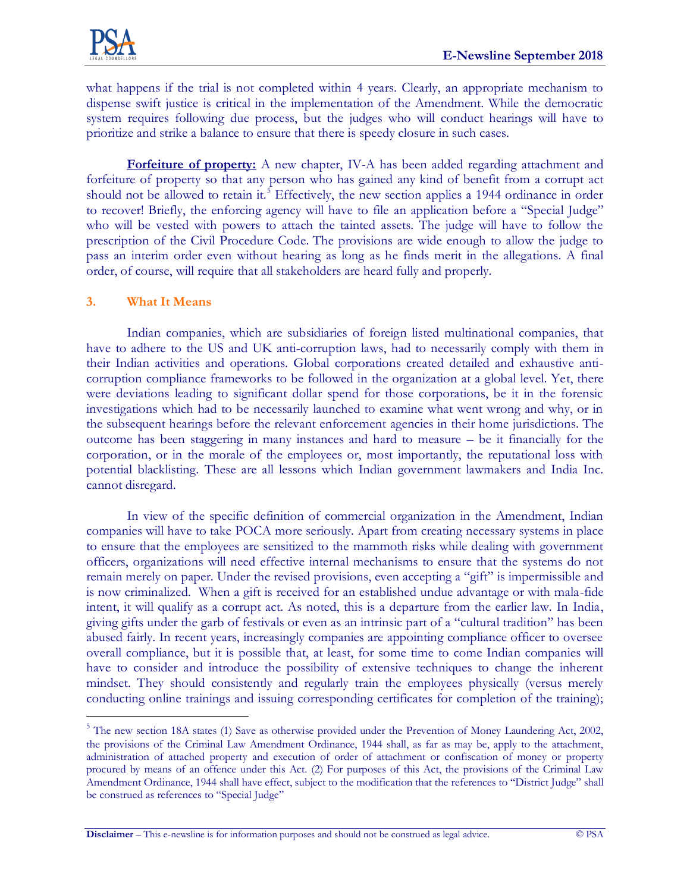

what happens if the trial is not completed within 4 years. Clearly, an appropriate mechanism to dispense swift justice is critical in the implementation of the Amendment. While the democratic system requires following due process, but the judges who will conduct hearings will have to prioritize and strike a balance to ensure that there is speedy closure in such cases.

**Forfeiture of property:** A new chapter, IV-A has been added regarding attachment and forfeiture of property so that any person who has gained any kind of benefit from a corrupt act should not be allowed to retain it.<sup>5</sup> Effectively, the new section applies a 1944 ordinance in order to recover! Briefly, the enforcing agency will have to file an application before a "Special Judge" who will be vested with powers to attach the tainted assets. The judge will have to follow the prescription of the Civil Procedure Code. The provisions are wide enough to allow the judge to pass an interim order even without hearing as long as he finds merit in the allegations. A final order, of course, will require that all stakeholders are heard fully and properly.

### **3. What It Means**

 $\overline{a}$ 

Indian companies, which are subsidiaries of foreign listed multinational companies, that have to adhere to the US and UK anti-corruption laws, had to necessarily comply with them in their Indian activities and operations. Global corporations created detailed and exhaustive anticorruption compliance frameworks to be followed in the organization at a global level. Yet, there were deviations leading to significant dollar spend for those corporations, be it in the forensic investigations which had to be necessarily launched to examine what went wrong and why, or in the subsequent hearings before the relevant enforcement agencies in their home jurisdictions. The outcome has been staggering in many instances and hard to measure – be it financially for the corporation, or in the morale of the employees or, most importantly, the reputational loss with potential blacklisting. These are all lessons which Indian government lawmakers and India Inc. cannot disregard.

In view of the specific definition of commercial organization in the Amendment, Indian companies will have to take POCA more seriously. Apart from creating necessary systems in place to ensure that the employees are sensitized to the mammoth risks while dealing with government officers, organizations will need effective internal mechanisms to ensure that the systems do not remain merely on paper. Under the revised provisions, even accepting a "gift" is impermissible and is now criminalized. When a gift is received for an established undue advantage or with mala-fide intent, it will qualify as a corrupt act. As noted, this is a departure from the earlier law. In India, giving gifts under the garb of festivals or even as an intrinsic part of a "cultural tradition" has been abused fairly. In recent years, increasingly companies are appointing compliance officer to oversee overall compliance, but it is possible that, at least, for some time to come Indian companies will have to consider and introduce the possibility of extensive techniques to change the inherent mindset. They should consistently and regularly train the employees physically (versus merely conducting online trainings and issuing corresponding certificates for completion of the training);

<sup>&</sup>lt;sup>5</sup> The new section 18A states (1) Save as otherwise provided under the Prevention of Money Laundering Act, 2002, the provisions of the Criminal Law Amendment Ordinance, 1944 shall, as far as may be, apply to the attachment, administration of attached property and execution of order of attachment or confiscation of money or property procured by means of an offence under this Act. (2) For purposes of this Act, the provisions of the Criminal Law Amendment Ordinance, 1944 shall have effect, subject to the modification that the references to "District Judge" shall be construed as references to "Special Judge"